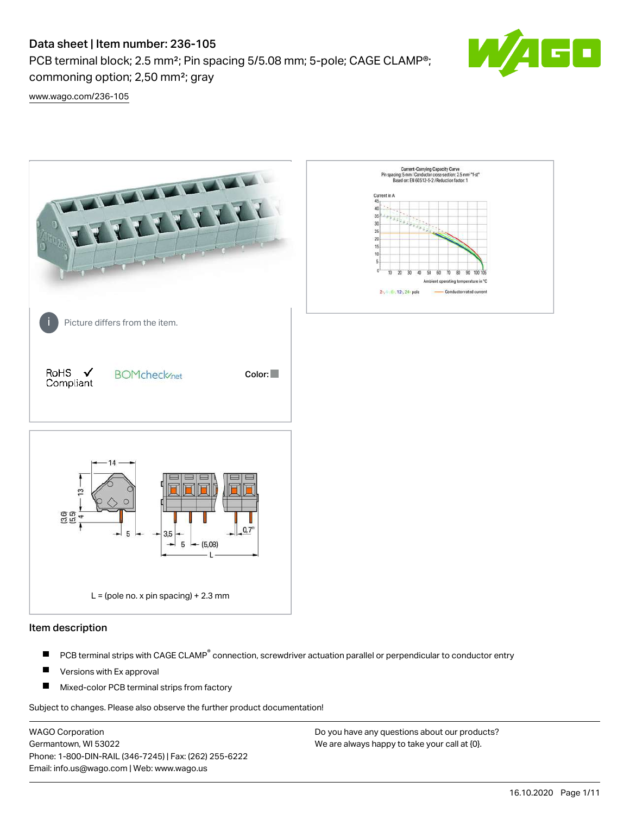PCB terminal block; 2.5 mm²; Pin spacing 5/5.08 mm; 5-pole; CAGE CLAMP®; commoning option; 2,50 mm²; gray



[www.wago.com/236-105](http://www.wago.com/236-105)



## Item description

- PCB terminal strips with CAGE CLAMP<sup>®</sup> connection, screwdriver actuation parallel or perpendicular to conductor entry П
- П Versions with Ex approval
- П Mixed-color PCB terminal strips from factory

Subject to changes. Please also observe the further product documentation!

WAGO Corporation Germantown, WI 53022 Phone: 1-800-DIN-RAIL (346-7245) | Fax: (262) 255-6222 Email: info.us@wago.com | Web: www.wago.us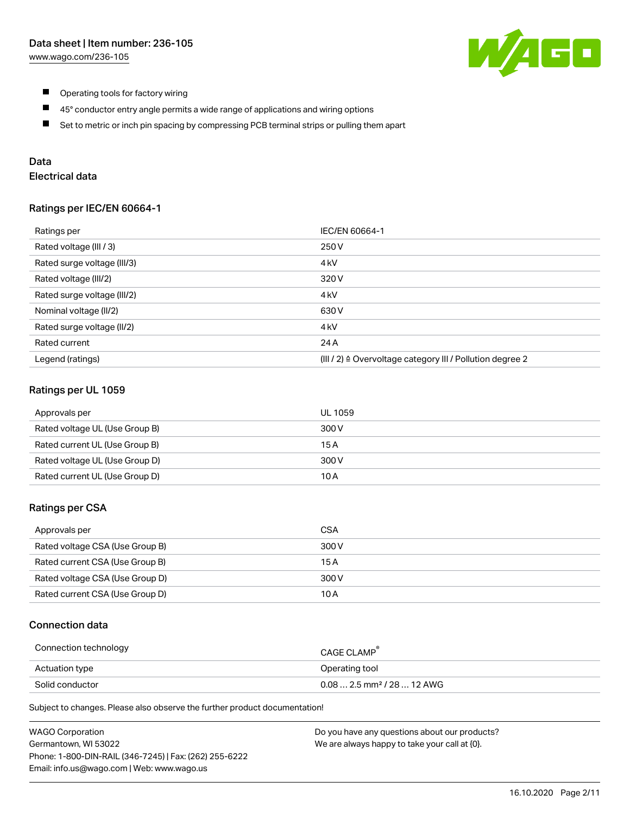

- $\blacksquare$ Operating tools for factory wiring
- $\blacksquare$ 45° conductor entry angle permits a wide range of applications and wiring options
- $\blacksquare$ Set to metric or inch pin spacing by compressing PCB terminal strips or pulling them apart

# Data

# Electrical data

## Ratings per IEC/EN 60664-1

| Ratings per                 | IEC/EN 60664-1                                                        |
|-----------------------------|-----------------------------------------------------------------------|
| Rated voltage (III / 3)     | 250 V                                                                 |
| Rated surge voltage (III/3) | 4 <sub>k</sub> V                                                      |
| Rated voltage (III/2)       | 320 V                                                                 |
| Rated surge voltage (III/2) | 4 <sub>k</sub> V                                                      |
| Nominal voltage (II/2)      | 630 V                                                                 |
| Rated surge voltage (II/2)  | 4 <sub>k</sub> V                                                      |
| Rated current               | 24 A                                                                  |
| Legend (ratings)            | $(III / 2)$ $\triangle$ Overvoltage category III / Pollution degree 2 |

## Ratings per UL 1059

| Approvals per                  | UL 1059 |
|--------------------------------|---------|
| Rated voltage UL (Use Group B) | 300 V   |
| Rated current UL (Use Group B) | 15 A    |
| Rated voltage UL (Use Group D) | 300 V   |
| Rated current UL (Use Group D) | 10 A    |

## Ratings per CSA

| Approvals per                   | CSA   |
|---------------------------------|-------|
| Rated voltage CSA (Use Group B) | 300 V |
| Rated current CSA (Use Group B) | 15 A  |
| Rated voltage CSA (Use Group D) | 300 V |
| Rated current CSA (Use Group D) | 10 A  |

# Connection data

| Connection technology | CAGE CLAMP <sup>®</sup>                 |
|-----------------------|-----------------------------------------|
| Actuation type        | Operating tool                          |
| Solid conductor       | $0.08$ 2.5 mm <sup>2</sup> / 28  12 AWG |

Subject to changes. Please also observe the further product documentation!

| <b>WAGO Corporation</b>                                | Do you have any questions about our products? |
|--------------------------------------------------------|-----------------------------------------------|
| Germantown, WI 53022                                   | We are always happy to take your call at {0}. |
| Phone: 1-800-DIN-RAIL (346-7245)   Fax: (262) 255-6222 |                                               |
| Email: info.us@wago.com   Web: www.wago.us             |                                               |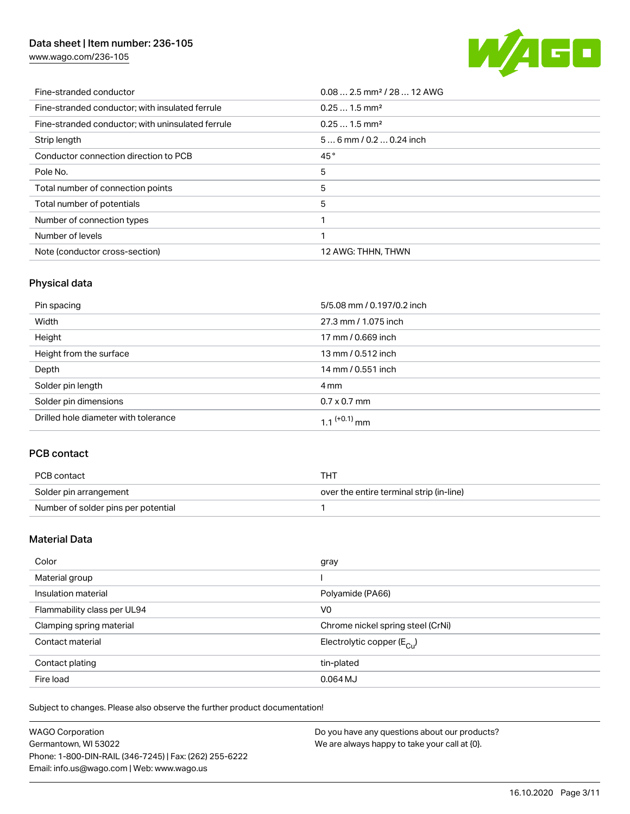[www.wago.com/236-105](http://www.wago.com/236-105)



| Fine-stranded conductor                           | $0.08$ 2.5 mm <sup>2</sup> / 28  12 AWG |
|---------------------------------------------------|-----------------------------------------|
| Fine-stranded conductor; with insulated ferrule   | $0.251.5$ mm <sup>2</sup>               |
| Fine-stranded conductor; with uninsulated ferrule | $0.251.5$ mm <sup>2</sup>               |
| Strip length                                      | $56$ mm / 0.2  0.24 inch                |
| Conductor connection direction to PCB             | 45°                                     |
| Pole No.                                          | 5                                       |
| Total number of connection points                 | 5                                       |
| Total number of potentials                        | 5                                       |
| Number of connection types                        |                                         |
| Number of levels                                  |                                         |
| Note (conductor cross-section)                    | 12 AWG: THHN, THWN                      |

# Physical data

| Pin spacing                          | 5/5.08 mm / 0.197/0.2 inch |  |  |
|--------------------------------------|----------------------------|--|--|
| Width                                | 27.3 mm / 1.075 inch       |  |  |
| Height                               | 17 mm / 0.669 inch         |  |  |
| Height from the surface              | 13 mm / 0.512 inch         |  |  |
| Depth                                | 14 mm / 0.551 inch         |  |  |
| Solder pin length                    | 4 mm                       |  |  |
| Solder pin dimensions                | $0.7 \times 0.7$ mm        |  |  |
| Drilled hole diameter with tolerance | $1.1$ <sup>(+0.1)</sup> mm |  |  |

# PCB contact

| PCB contact                         | THT                                      |
|-------------------------------------|------------------------------------------|
| Solder pin arrangement              | over the entire terminal strip (in-line) |
| Number of solder pins per potential |                                          |

# Material Data

| Color                       | gray                                   |
|-----------------------------|----------------------------------------|
| Material group              |                                        |
| Insulation material         | Polyamide (PA66)                       |
| Flammability class per UL94 | V <sub>0</sub>                         |
| Clamping spring material    | Chrome nickel spring steel (CrNi)      |
| Contact material            | Electrolytic copper $(E_{\text{CII}})$ |
| Contact plating             | tin-plated                             |
| Fire load                   | 0.064 MJ                               |

Subject to changes. Please also observe the further product documentation!

| <b>WAGO Corporation</b>                                | Do you have any questions about our products? |
|--------------------------------------------------------|-----------------------------------------------|
| Germantown, WI 53022                                   | We are always happy to take your call at {0}. |
| Phone: 1-800-DIN-RAIL (346-7245)   Fax: (262) 255-6222 |                                               |
| Email: info.us@wago.com   Web: www.wago.us             |                                               |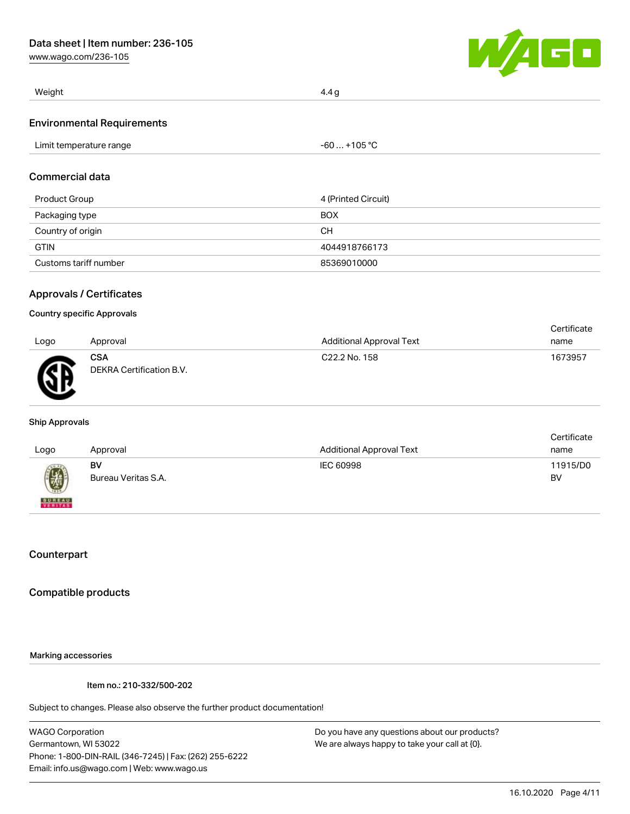[www.wago.com/236-105](http://www.wago.com/236-105)



| Weight                            | 4.4 g        |  |
|-----------------------------------|--------------|--|
| <b>Environmental Requirements</b> |              |  |
| Limit temperature range           | $-60+105 °C$ |  |
| Commercial data                   |              |  |

|  |  | Commercial data |
|--|--|-----------------|
|  |  |                 |

| Product Group         | 4 (Printed Circuit) |
|-----------------------|---------------------|
| Packaging type        | <b>BOX</b>          |
| Country of origin     | <b>CH</b>           |
| <b>GTIN</b>           | 4044918766173       |
| Customs tariff number | 85369010000         |

# Approvals / Certificates

#### Country specific Approvals

|      |                                        |                                 | Certificate |
|------|----------------------------------------|---------------------------------|-------------|
| Logo | Approval                               | <b>Additional Approval Text</b> | name        |
| ЖÑ   | <b>CSA</b><br>DEKRA Certification B.V. | C <sub>22.2</sub> No. 158       | 1673957     |

#### Ship Approvals

| Logo                     | Approval                  | <b>Additional Approval Text</b> | Certificate<br>name |
|--------------------------|---------------------------|---------------------------------|---------------------|
| 國                        | BV<br>Bureau Veritas S.A. | IEC 60998                       | 11915/D0<br>BV      |
| <b>BUREAU</b><br>VERITAS |                           |                                 |                     |

# **Counterpart**

# Compatible products

## Marking accessories

Item no.: 210-332/500-202

Subject to changes. Please also observe the further product documentation!

WAGO Corporation Germantown, WI 53022 Phone: 1-800-DIN-RAIL (346-7245) | Fax: (262) 255-6222 Email: info.us@wago.com | Web: www.wago.us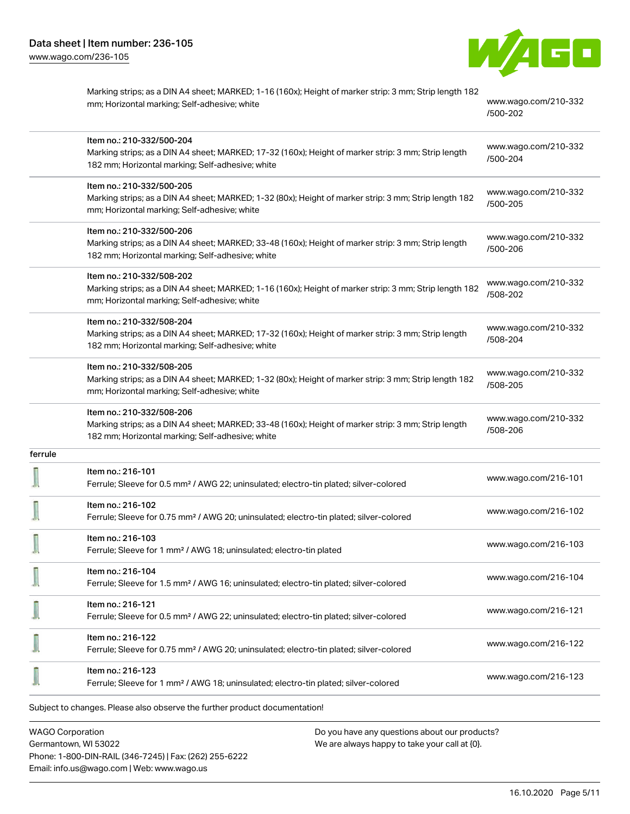

|         | Marking strips; as a DIN A4 sheet; MARKED; 1-16 (160x); Height of marker strip: 3 mm; Strip length 182<br>mm; Horizontal marking; Self-adhesive; white                               | www.wago.com/210-332<br>/500-202 |
|---------|--------------------------------------------------------------------------------------------------------------------------------------------------------------------------------------|----------------------------------|
|         | Item no.: 210-332/500-204<br>Marking strips; as a DIN A4 sheet; MARKED; 17-32 (160x); Height of marker strip: 3 mm; Strip length<br>182 mm; Horizontal marking; Self-adhesive; white | www.wago.com/210-332<br>/500-204 |
|         | Item no.: 210-332/500-205<br>Marking strips; as a DIN A4 sheet; MARKED; 1-32 (80x); Height of marker strip: 3 mm; Strip length 182<br>mm; Horizontal marking; Self-adhesive; white   | www.wago.com/210-332<br>/500-205 |
|         | Item no.: 210-332/500-206<br>Marking strips; as a DIN A4 sheet; MARKED; 33-48 (160x); Height of marker strip: 3 mm; Strip length<br>182 mm; Horizontal marking; Self-adhesive; white | www.wago.com/210-332<br>/500-206 |
|         | Item no.: 210-332/508-202<br>Marking strips; as a DIN A4 sheet; MARKED; 1-16 (160x); Height of marker strip: 3 mm; Strip length 182<br>mm; Horizontal marking; Self-adhesive; white  | www.wago.com/210-332<br>/508-202 |
|         | Item no.: 210-332/508-204<br>Marking strips; as a DIN A4 sheet; MARKED; 17-32 (160x); Height of marker strip: 3 mm; Strip length<br>182 mm; Horizontal marking; Self-adhesive; white | www.wago.com/210-332<br>/508-204 |
|         | Item no.: 210-332/508-205<br>Marking strips; as a DIN A4 sheet; MARKED; 1-32 (80x); Height of marker strip: 3 mm; Strip length 182<br>mm; Horizontal marking; Self-adhesive; white   | www.wago.com/210-332<br>/508-205 |
|         | Item no.: 210-332/508-206<br>Marking strips; as a DIN A4 sheet; MARKED; 33-48 (160x); Height of marker strip: 3 mm; Strip length<br>182 mm; Horizontal marking; Self-adhesive; white | www.wago.com/210-332<br>/508-206 |
| ferrule |                                                                                                                                                                                      |                                  |
|         | Item no.: 216-101<br>Ferrule; Sleeve for 0.5 mm <sup>2</sup> / AWG 22; uninsulated; electro-tin plated; silver-colored                                                               | www.wago.com/216-101             |
|         | Item no.: 216-102<br>Ferrule; Sleeve for 0.75 mm <sup>2</sup> / AWG 20; uninsulated; electro-tin plated; silver-colored                                                              | www.wago.com/216-102             |
|         | Item no.: 216-103<br>Ferrule; Sleeve for 1 mm <sup>2</sup> / AWG 18; uninsulated; electro-tin plated                                                                                 | www.wago.com/216-103             |
|         | Item no.: 216-104<br>Ferrule; Sleeve for 1.5 mm <sup>2</sup> / AWG 16; uninsulated; electro-tin plated; silver-colored                                                               | www.wago.com/216-104             |
|         | Item no.: 216-121<br>Ferrule; Sleeve for 0.5 mm <sup>2</sup> / AWG 22; uninsulated; electro-tin plated; silver-colored                                                               | www.wago.com/216-121             |
|         | Item no.: 216-122<br>Ferrule; Sleeve for 0.75 mm <sup>2</sup> / AWG 20; uninsulated; electro-tin plated; silver-colored                                                              | www.wago.com/216-122             |
|         | Item no.: 216-123<br>Ferrule; Sleeve for 1 mm <sup>2</sup> / AWG 18; uninsulated; electro-tin plated; silver-colored                                                                 | www.wago.com/216-123             |
|         | Subject to changes. Please also observe the further product documentation!                                                                                                           |                                  |

WAGO Corporation Germantown, WI 53022 Phone: 1-800-DIN-RAIL (346-7245) | Fax: (262) 255-6222 Email: info.us@wago.com | Web: www.wago.us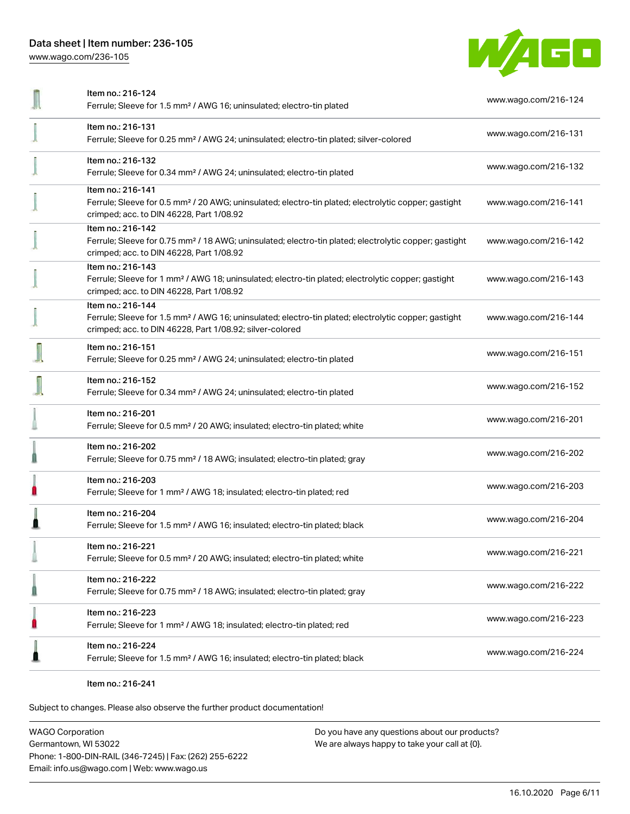[www.wago.com/236-105](http://www.wago.com/236-105)



| Item no.: 216-124                                                                                                                                                            |                      |
|------------------------------------------------------------------------------------------------------------------------------------------------------------------------------|----------------------|
| Ferrule; Sleeve for 1.5 mm <sup>2</sup> / AWG 16; uninsulated; electro-tin plated                                                                                            | www.wago.com/216-124 |
| Item no.: 216-131                                                                                                                                                            | www.wago.com/216-131 |
| Ferrule; Sleeve for 0.25 mm <sup>2</sup> / AWG 24; uninsulated; electro-tin plated; silver-colored                                                                           |                      |
| Item no.: 216-132                                                                                                                                                            | www.wago.com/216-132 |
| Ferrule; Sleeve for 0.34 mm <sup>2</sup> / AWG 24; uninsulated; electro-tin plated                                                                                           |                      |
| Item no.: 216-141                                                                                                                                                            |                      |
| Ferrule; Sleeve for 0.5 mm <sup>2</sup> / 20 AWG; uninsulated; electro-tin plated; electrolytic copper; gastight<br>crimped; acc. to DIN 46228, Part 1/08.92                 | www.wago.com/216-141 |
| Item no.: 216-142                                                                                                                                                            |                      |
| Ferrule; Sleeve for 0.75 mm <sup>2</sup> / 18 AWG; uninsulated; electro-tin plated; electrolytic copper; gastight<br>crimped; acc. to DIN 46228, Part 1/08.92                | www.wago.com/216-142 |
| Item no.: 216-143                                                                                                                                                            |                      |
| Ferrule; Sleeve for 1 mm <sup>2</sup> / AWG 18; uninsulated; electro-tin plated; electrolytic copper; gastight<br>crimped; acc. to DIN 46228, Part 1/08.92                   | www.wago.com/216-143 |
| Item no.: 216-144                                                                                                                                                            |                      |
| Ferrule; Sleeve for 1.5 mm <sup>2</sup> / AWG 16; uninsulated; electro-tin plated; electrolytic copper; gastight<br>crimped; acc. to DIN 46228, Part 1/08.92; silver-colored | www.wago.com/216-144 |
| Item no.: 216-151                                                                                                                                                            |                      |
| Ferrule; Sleeve for 0.25 mm <sup>2</sup> / AWG 24; uninsulated; electro-tin plated                                                                                           | www.wago.com/216-151 |
| Item no.: 216-152                                                                                                                                                            | www.wago.com/216-152 |
| Ferrule; Sleeve for 0.34 mm <sup>2</sup> / AWG 24; uninsulated; electro-tin plated                                                                                           |                      |
| Item no.: 216-201                                                                                                                                                            |                      |
| Ferrule; Sleeve for 0.5 mm <sup>2</sup> / 20 AWG; insulated; electro-tin plated; white                                                                                       | www.wago.com/216-201 |
| Item no.: 216-202                                                                                                                                                            |                      |
| Ferrule; Sleeve for 0.75 mm <sup>2</sup> / 18 AWG; insulated; electro-tin plated; gray                                                                                       | www.wago.com/216-202 |
| Item no.: 216-203                                                                                                                                                            | www.wago.com/216-203 |
| Ferrule; Sleeve for 1 mm <sup>2</sup> / AWG 18; insulated; electro-tin plated; red                                                                                           |                      |
| Item no.: 216-204                                                                                                                                                            | www.wago.com/216-204 |
| Ferrule; Sleeve for 1.5 mm <sup>2</sup> / AWG 16; insulated; electro-tin plated; black                                                                                       |                      |
| Item no.: 216-221                                                                                                                                                            | www.wago.com/216-221 |
| Ferrule; Sleeve for 0.5 mm <sup>2</sup> / 20 AWG; insulated; electro-tin plated; white                                                                                       |                      |
| Item no.: 216-222                                                                                                                                                            | www.wago.com/216-222 |
| Ferrule; Sleeve for 0.75 mm <sup>2</sup> / 18 AWG; insulated; electro-tin plated; gray                                                                                       |                      |
| Item no.: 216-223                                                                                                                                                            | www.wago.com/216-223 |
| Ferrule; Sleeve for 1 mm <sup>2</sup> / AWG 18; insulated; electro-tin plated; red                                                                                           |                      |
| Item no.: 216-224                                                                                                                                                            |                      |
| Ferrule; Sleeve for 1.5 mm <sup>2</sup> / AWG 16; insulated; electro-tin plated; black                                                                                       | www.wago.com/216-224 |
|                                                                                                                                                                              |                      |

Item no.: 216-241

Subject to changes. Please also observe the further product documentation!

WAGO Corporation Germantown, WI 53022 Phone: 1-800-DIN-RAIL (346-7245) | Fax: (262) 255-6222 Email: info.us@wago.com | Web: www.wago.us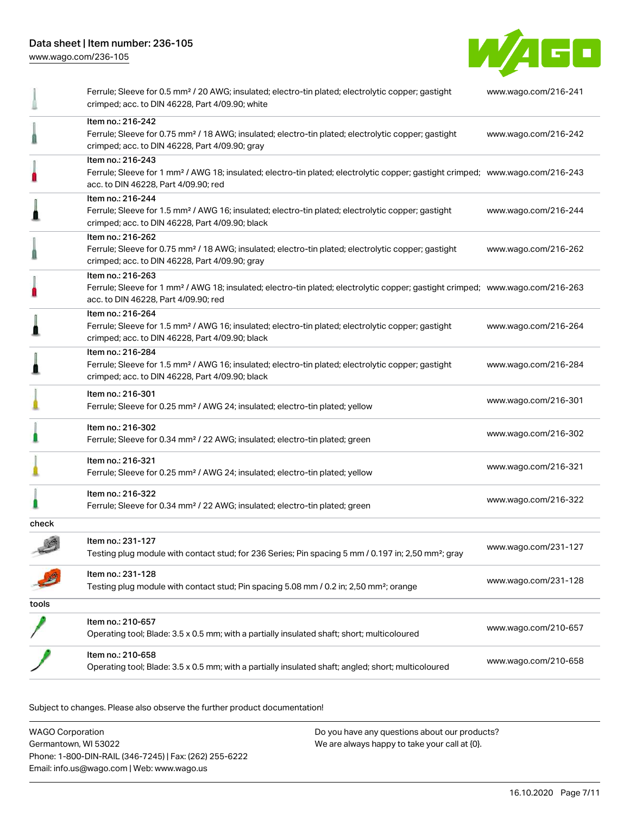[www.wago.com/236-105](http://www.wago.com/236-105)



|       | Ferrule; Sleeve for 0.5 mm <sup>2</sup> / 20 AWG; insulated; electro-tin plated; electrolytic copper; gastight<br>crimped; acc. to DIN 46228, Part 4/09.90; white                                       | www.wago.com/216-241 |
|-------|---------------------------------------------------------------------------------------------------------------------------------------------------------------------------------------------------------|----------------------|
|       | Item no.: 216-242<br>Ferrule; Sleeve for 0.75 mm <sup>2</sup> / 18 AWG; insulated; electro-tin plated; electrolytic copper; gastight<br>crimped; acc. to DIN 46228, Part 4/09.90; gray                  | www.wago.com/216-242 |
|       | Item no.: 216-243<br>Ferrule; Sleeve for 1 mm <sup>2</sup> / AWG 18; insulated; electro-tin plated; electrolytic copper; gastight crimped; www.wago.com/216-243<br>acc. to DIN 46228, Part 4/09.90; red |                      |
|       | Item no.: 216-244<br>Ferrule; Sleeve for 1.5 mm <sup>2</sup> / AWG 16; insulated; electro-tin plated; electrolytic copper; gastight<br>crimped; acc. to DIN 46228, Part 4/09.90; black                  | www.wago.com/216-244 |
|       | Item no.: 216-262<br>Ferrule; Sleeve for 0.75 mm <sup>2</sup> / 18 AWG; insulated; electro-tin plated; electrolytic copper; gastight<br>crimped; acc. to DIN 46228, Part 4/09.90; gray                  | www.wago.com/216-262 |
|       | Item no.: 216-263<br>Ferrule; Sleeve for 1 mm <sup>2</sup> / AWG 18; insulated; electro-tin plated; electrolytic copper; gastight crimped; www.wago.com/216-263<br>acc. to DIN 46228, Part 4/09.90; red |                      |
|       | Item no.: 216-264<br>Ferrule; Sleeve for 1.5 mm <sup>2</sup> / AWG 16; insulated; electro-tin plated; electrolytic copper; gastight<br>crimped; acc. to DIN 46228, Part 4/09.90; black                  | www.wago.com/216-264 |
|       | Item no.: 216-284<br>Ferrule; Sleeve for 1.5 mm <sup>2</sup> / AWG 16; insulated; electro-tin plated; electrolytic copper; gastight<br>crimped; acc. to DIN 46228, Part 4/09.90; black                  | www.wago.com/216-284 |
|       | Item no.: 216-301<br>Ferrule; Sleeve for 0.25 mm <sup>2</sup> / AWG 24; insulated; electro-tin plated; yellow                                                                                           | www.wago.com/216-301 |
|       | Item no.: 216-302<br>Ferrule; Sleeve for 0.34 mm <sup>2</sup> / 22 AWG; insulated; electro-tin plated; green                                                                                            | www.wago.com/216-302 |
|       | Item no.: 216-321<br>Ferrule; Sleeve for 0.25 mm <sup>2</sup> / AWG 24; insulated; electro-tin plated; yellow                                                                                           | www.wago.com/216-321 |
|       | Item no.: 216-322<br>Ferrule; Sleeve for 0.34 mm <sup>2</sup> / 22 AWG; insulated; electro-tin plated; green                                                                                            | www.wago.com/216-322 |
| check |                                                                                                                                                                                                         |                      |
|       | Item no.: 231-127<br>Testing plug module with contact stud; for 236 Series; Pin spacing 5 mm / 0.197 in; 2,50 mm <sup>2</sup> ; gray                                                                    | www.wago.com/231-127 |
|       | Item no.: 231-128<br>Testing plug module with contact stud; Pin spacing 5.08 mm / 0.2 in; 2,50 mm <sup>2</sup> ; orange                                                                                 | www.wago.com/231-128 |
| tools |                                                                                                                                                                                                         |                      |
|       | Item no.: 210-657<br>Operating tool; Blade: 3.5 x 0.5 mm; with a partially insulated shaft; short; multicoloured                                                                                        | www.wago.com/210-657 |
|       | Item no.: 210-658<br>Operating tool; Blade: 3.5 x 0.5 mm; with a partially insulated shaft; angled; short; multicoloured                                                                                | www.wago.com/210-658 |

Subject to changes. Please also observe the further product documentation!

WAGO Corporation Germantown, WI 53022 Phone: 1-800-DIN-RAIL (346-7245) | Fax: (262) 255-6222 Email: info.us@wago.com | Web: www.wago.us Do you have any questions about our products? We are always happy to take your call at {0}.

16.10.2020 Page 7/11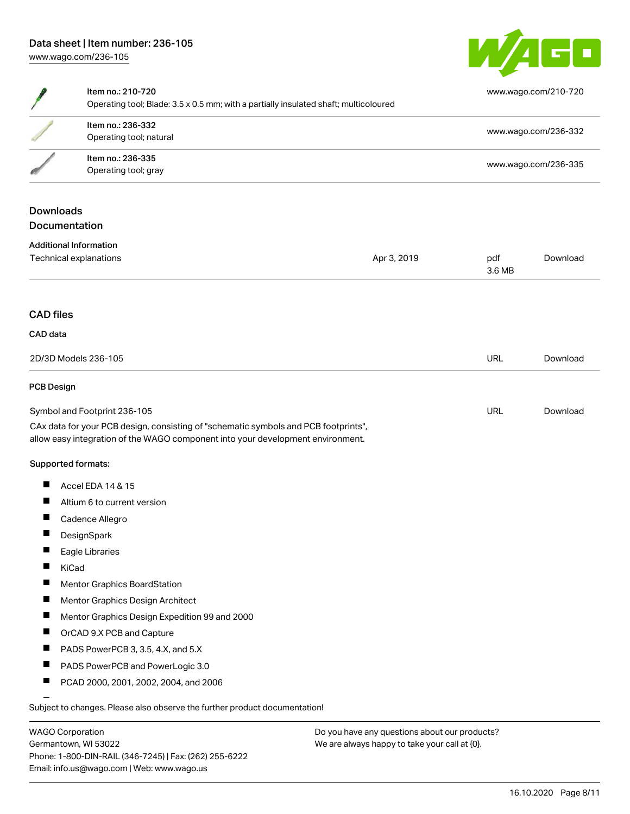

|                   | Item no.: 210-720<br>Operating tool; Blade: 3.5 x 0.5 mm; with a partially insulated shaft; multicoloured                                                              |             |               | www.wago.com/210-720 |
|-------------------|------------------------------------------------------------------------------------------------------------------------------------------------------------------------|-------------|---------------|----------------------|
|                   | Item no.: 236-332<br>Operating tool; natural                                                                                                                           |             |               | www.wago.com/236-332 |
|                   | Item no.: 236-335<br>Operating tool; gray                                                                                                                              |             |               | www.wago.com/236-335 |
| <b>Downloads</b>  |                                                                                                                                                                        |             |               |                      |
|                   | Documentation                                                                                                                                                          |             |               |                      |
|                   | <b>Additional Information</b>                                                                                                                                          |             |               |                      |
|                   | Technical explanations                                                                                                                                                 | Apr 3, 2019 | pdf<br>3.6 MB | Download             |
| <b>CAD</b> files  |                                                                                                                                                                        |             |               |                      |
| CAD data          |                                                                                                                                                                        |             |               |                      |
|                   | 2D/3D Models 236-105                                                                                                                                                   |             | <b>URL</b>    | Download             |
| <b>PCB Design</b> |                                                                                                                                                                        |             |               |                      |
|                   | Symbol and Footprint 236-105                                                                                                                                           |             | <b>URL</b>    | Download             |
|                   | CAx data for your PCB design, consisting of "schematic symbols and PCB footprints",<br>allow easy integration of the WAGO component into your development environment. |             |               |                      |
|                   | Supported formats:                                                                                                                                                     |             |               |                      |
| H                 | Accel EDA 14 & 15                                                                                                                                                      |             |               |                      |
| п                 | Altium 6 to current version                                                                                                                                            |             |               |                      |
| H                 | Cadence Allegro                                                                                                                                                        |             |               |                      |
| Ш                 | DesignSpark                                                                                                                                                            |             |               |                      |
|                   | Eagle Libraries                                                                                                                                                        |             |               |                      |
|                   | KiCad                                                                                                                                                                  |             |               |                      |
| <b>I</b>          | Mentor Graphics BoardStation                                                                                                                                           |             |               |                      |
|                   | Mentor Graphics Design Architect                                                                                                                                       |             |               |                      |
| $\blacksquare$    | Mentor Graphics Design Expedition 99 and 2000                                                                                                                          |             |               |                      |
| П                 | OrCAD 9.X PCB and Capture                                                                                                                                              |             |               |                      |
|                   | PADS PowerPCB 3, 3.5, 4.X, and 5.X                                                                                                                                     |             |               |                      |
| ш                 | PADS PowerPCB and PowerLogic 3.0                                                                                                                                       |             |               |                      |
| H                 | PCAD 2000, 2001, 2002, 2004, and 2006                                                                                                                                  |             |               |                      |
|                   | Subject to changes. Please also observe the further product documentation!                                                                                             |             |               |                      |

WAGO Corporation Germantown, WI 53022 Phone: 1-800-DIN-RAIL (346-7245) | Fax: (262) 255-6222 Email: info.us@wago.com | Web: www.wago.us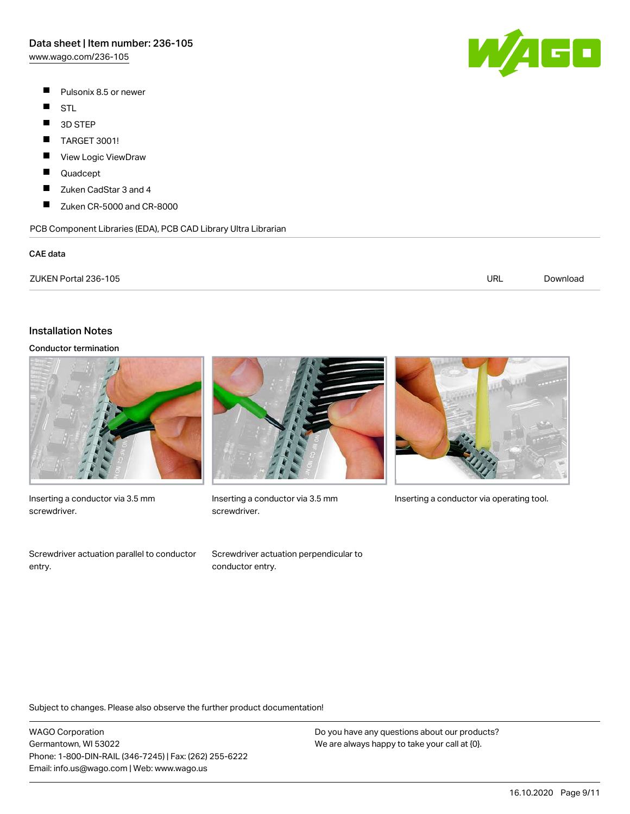[www.wago.com/236-105](http://www.wago.com/236-105)

- $\blacksquare$ Pulsonix 8.5 or newer
- $\blacksquare$ STL
- $\blacksquare$ 3D STEP
- $\blacksquare$ TARGET 3001!
- П View Logic ViewDraw
- П Quadcept
- $\blacksquare$ Zuken CadStar 3 and 4
- $\blacksquare$ Zuken CR-5000 and CR-8000

PCB Component Libraries (EDA), PCB CAD Library Ultra Librarian

#### CAE data

| ZUKEN Portal 236-105 | URL | Download |
|----------------------|-----|----------|
|                      |     |          |

## Installation Notes

## Conductor termination



Inserting a conductor via 3.5 mm screwdriver.

Screwdriver actuation parallel to conductor entry.



screwdriver.

Screwdriver actuation perpendicular to conductor entry.



Inserting a conductor via 3.5 mm Inserting a conductor via operating tool.

Subject to changes. Please also observe the further product documentation!

WAGO Corporation Germantown, WI 53022 Phone: 1-800-DIN-RAIL (346-7245) | Fax: (262) 255-6222 Email: info.us@wago.com | Web: www.wago.us

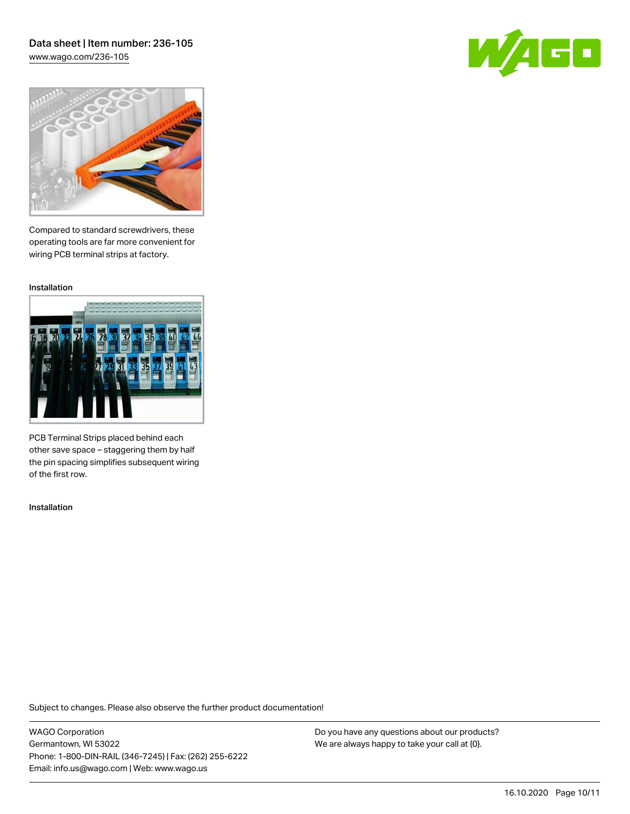# Data sheet | Item number: 236-105 [www.wago.com/236-105](http://www.wago.com/236-105)

GO



Compared to standard screwdrivers, these operating tools are far more convenient for wiring PCB terminal strips at factory.

Installation



PCB Terminal Strips placed behind each other save space – staggering them by half the pin spacing simplifies subsequent wiring of the first row.

Installation

Subject to changes. Please also observe the further product documentation!

WAGO Corporation Germantown, WI 53022 Phone: 1-800-DIN-RAIL (346-7245) | Fax: (262) 255-6222 Email: info.us@wago.com | Web: www.wago.us